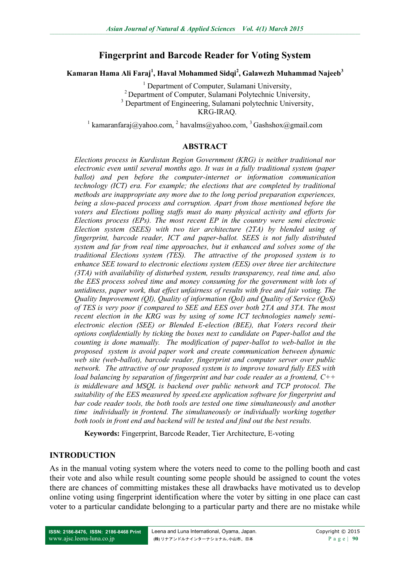# **Fingerprint and Barcode Reader for Voting System**

**Kamaran Hama Ali Faraj<sup>1</sup> , Haval Mohammed Sidqi<sup>2</sup> , Galawezh Muhammad Najeeb<sup>3</sup>**

<sup>1</sup> Department of Computer, Sulamani University, <sup>2</sup> Department of Computer, Sulamani Polytechnic University, <sup>3</sup> Department of Engineering, Sulamani polytechnic University, KRG-IRAQ.

<sup>1</sup> [kamaranfaraj@yahoo.com,](mailto:kamaranfaraj@yahoo.com) <sup>2</sup> [havalms@yahoo.com,](mailto:havalms@yahoo.com) <sup>3</sup> [Gashshox@gmail.com](mailto:Gashshox@gmail.com)

#### **ABSTRACT**

*Elections process in Kurdistan Region Government (KRG) is neither traditional nor electronic even until several months ago. It was in a fully traditional system (paper ballot) and pen before the computer-internet or information communication technology (ICT) era. For example; the elections that are completed by traditional methods are inappropriate any more due to the long period preparation experiences, being a slow-paced process and corruption. Apart from those mentioned before the voters and Elections polling staffs must do many physical activity and efforts for Elections process (EPs). The most recent EP in the country were semi electronic Election system (SEES) with two tier architecture (2TA) by blended using of fingerprint, barcode reader, ICT and paper-ballot. SEES is not fully distributed system and far from real time approaches, but it enhanced and solves some of the traditional Elections system (TES). The attractive of the proposed system is to enhance SEE toward to electronic elections system (EES) over three tier architecture (3TA) with availability of disturbed system, results transparency, real time and, also the EES process solved time and money consuming for the government with lots of untidiness, paper work, that effect unfairness of results with free and fair voting. The Quality Improvement (QI), Quality of information (QoI) and Quality of Service (QoS) of TES is very poor if compared to SEE and EES over both 2TA and 3TA. The most recent election in the KRG was by using of some ICT technologies namely semielectronic election (SEE) or Blended E-election (BEE), that Voters record their options confidentially by ticking the boxes next to candidate on Paper-ballot and the counting is done manually. The modification of paper-ballot to web-ballot in the proposed system is avoid paper work and create communication between dynamic web site (web-ballot), barcode reader, fingerprint and computer server over public network. The attractive of our proposed system is to improve toward fully EES with load balancing by separation of fingerprint and bar code reader as a frontend, C++ is middleware and MSQL is backend over public network and TCP protocol. The suitability of the EES measured by speed.exe application software for fingerprint and bar code reader tools, the both tools are tested one time simultaneously and another time individually in frontend. The simultaneously or individually working together both tools in front end and backend will be tested and find out the best results.* 

**Keywords:** Fingerprint, Barcode Reader, Tier Architecture, E-voting

#### **INTRODUCTION**

As in the manual voting system where the voters need to come to the polling booth and cast their vote and also while result counting some people should be assigned to count the votes there are chances of committing mistakes these all drawbacks have motivated us to develop online voting using fingerprint identification where the voter by sitting in one place can cast voter to a particular candidate belonging to a particular party and there are no mistake while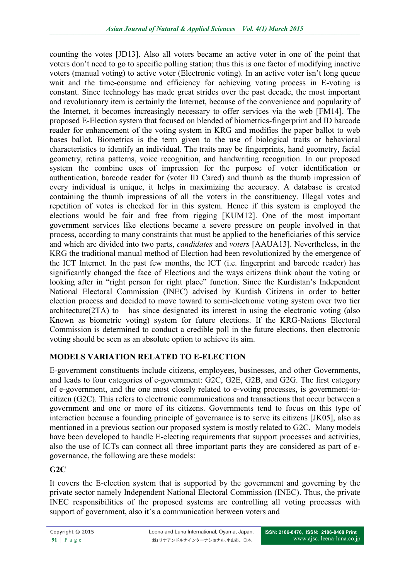counting the votes [JD13]. Also all voters became an active voter in one of the point that voters don't need to go to specific polling station; thus this is one factor of modifying inactive voters (manual voting) to active voter (Electronic voting). In an active voter isn't long queue wait and the time-consume and efficiency for achieving voting process in E-voting is constant. Since technology has made great strides over the past decade, the most important and revolutionary item is certainly the Internet, because of the convenience and popularity of the Internet, it becomes increasingly necessary to offer services via the web [FM14]. The proposed E-Election system that focused on blended of biometrics-fingerprint and ID barcode reader for enhancement of the voting system in KRG and modifies the paper ballot to web bases ballot. Biometrics is the term given to the use of biological traits or behavioral characteristics to identify an individual. The traits may be fingerprints, hand geometry, facial geometry, retina patterns, voice recognition, and handwriting recognition. In our proposed system the combine uses of impression for the purpose of voter identification or authentication, barcode reader for (voter ID Cared) and thumb as the thumb impression of every individual is unique, it helps in maximizing the accuracy. A database is created containing the thumb impressions of all the voters in the constituency. Illegal votes and repetition of votes is checked for in this system. Hence if this system is employed the elections would be fair and free from rigging [KUM12]. One of the most important government services like elections became a severe pressure on people involved in that process, according to many constraints that must be applied to the beneficiaries of this service and which are divided into two parts, *candidates* and *voters* [AAUA13]. Nevertheless, in the KRG the traditional manual method of Election had been revolutionized by the emergence of the ICT Internet. In the past few months, the ICT (i.e. fingerprint and barcode reader) has significantly changed the face of Elections and the ways citizens think about the voting or looking after in "right person for right place" function. Since the Kurdistan's Independent National Electoral Commission (INEC) advised by Kurdish Citizens in order to better election process and decided to move toward to semi-electronic voting system over two tier architecture(2TA) to has since designated its interest in using the electronic voting (also Known as biometric voting) system for future elections. If the KRG-Nations Electoral Commission is determined to conduct a credible poll in the future elections, then electronic voting should be seen as an absolute option to achieve its aim.

# **MODELS VARIATION RELATED TO E-ELECTION**

E-government constituents include citizens, employees, businesses, and other Governments, and leads to four categories of e-government: G2C, G2E, G2B, and G2G. The first category of e-government, and the one most closely related to e-voting processes, is government-tocitizen (G2C). This refers to electronic communications and transactions that occur between a government and one or more of its citizens. Governments tend to focus on this type of interaction because a founding principle of governance is to serve its citizens [JK05], also as mentioned in a previous section our proposed system is mostly related to G2C. Many models have been developed to handle E-electing requirements that support processes and activities, also the use of ICTs can connect all three important parts they are considered as part of egovernance, the following are these models:

# **G2C**

It covers the E-election system that is supported by the government and governing by the private sector namely Independent National Electoral Commission (INEC). Thus, the private INEC responsibilities of the proposed systems are controlling all voting processes with support of government, also it's a communication between voters and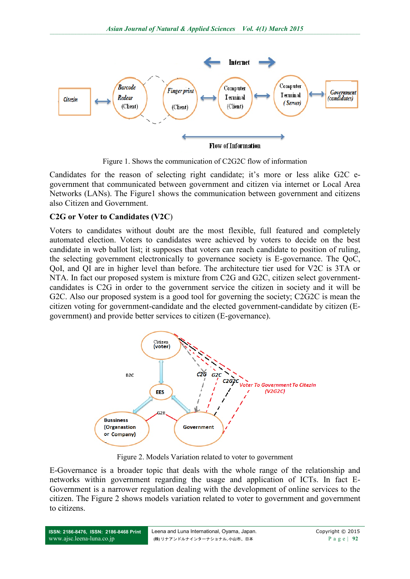

Figure 1. Shows the communication of C2G2C flow of information

Candidates for the reason of selecting right candidate; it's more or less alike G2C egovernment that communicated between government and citizen via internet or Local Area Networks (LANs). The Figure1 shows the communication between government and citizens also Citizen and Government.

### **C2G or Voter to Candidates (V2C**)

Voters to candidates without doubt are the most flexible, full featured and completely automated election. Voters to candidates were achieved by voters to decide on the best candidate in web ballot list; it supposes that voters can reach candidate to position of ruling, the selecting government electronically to governance society is E-governance. The QoC, QoI, and QI are in higher level than before. The architecture tier used for V2C is 3TA or NTA. In fact our proposed system is mixture from C2G and G2C, citizen select governmentcandidates is C2G in order to the government service the citizen in society and it will be G2C. Also our proposed system is a good tool for governing the society; C2G2C is mean the citizen voting for government-candidate and the elected government-candidate by citizen (Egovernment) and provide better services to citizen (E-governance).



Figure 2. Models Variation related to voter to government

E-Governance is a broader topic that deals with the whole range of the relationship and networks within government regarding the usage and application of ICTs. In fact E-Government is a narrower regulation dealing with the development of online services to the citizen. The Figure 2 shows models variation related to voter to government and government to citizens.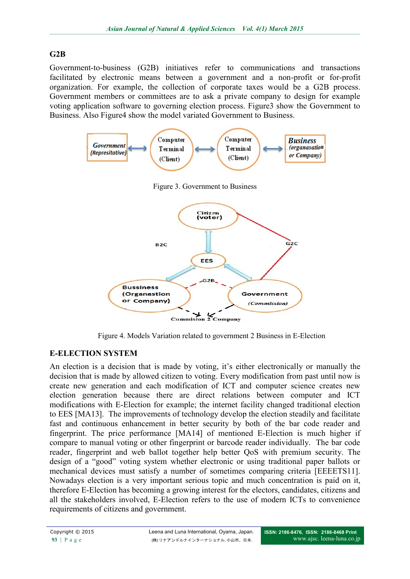## **G2B**

Government-to-business (G2B) initiatives refer to communications and transactions facilitated by electronic means between a government and a non-profit or for-profit organization. For example, the collection of corporate taxes would be a G2B process. Government members or committees are to ask a private company to design for example voting application software to governing election process. Figure3 show the Government to Business. Also Figure4 show the model variated Government to Business.



Figure 4. Models Variation related to government 2 Business in E-Election

# **E-ELECTION SYSTEM**

An election is a decision that is made by voting, it's either electronically or manually the decision that is made by allowed citizen to voting. Every modification from past until now is create new generation and each modification of ICT and computer science creates new election generation because there are direct relations between computer and ICT modifications with E-Election for example; the internet facility changed traditional election to EES [MA13]. The improvements of technology develop the election steadily and facilitate fast and continuous enhancement in better security by both of the bar code reader and fingerprint. The price performance [MA14] of mentioned E-Election is much higher if compare to manual voting or other fingerprint or barcode reader individually. The bar code reader, fingerprint and web ballot together help better QoS with premium security. The design of a "good" voting system whether electronic or using traditional paper ballots or mechanical devices must satisfy a number of sometimes comparing criteria [EEEETS11]. Nowadays election is a very important serious topic and much concentration is paid on it, therefore E-Election has becoming a growing interest for the electors, candidates, citizens and all the stakeholders involved, E-Election refers to the use of modern ICTs to convenience requirements of citizens and government.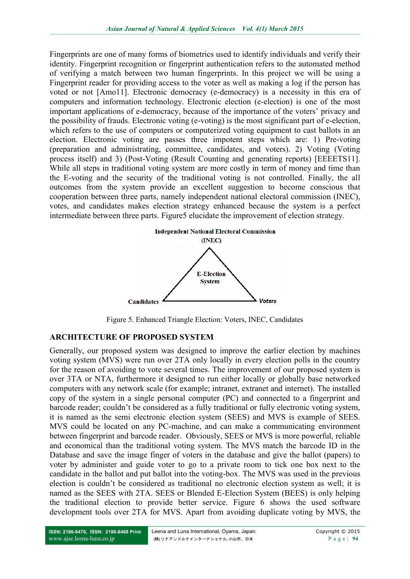Fingerprints are one of many forms of biometrics used to identify individuals and verify their identity. Fingerprint recognition or fingerprint authentication refers to the automated method of verifying a match between two human fingerprints. In this project we will be using a Fingerprint reader for providing access to the voter as well as making a log if the person has voted or not [Amo11]. Electronic democracy (e-democracy) is a necessity in this era of computers and information technology. Electronic election (e-election) is one of the most important applications of e-democracy, because of the importance of the voters' privacy and the possibility of frauds. Electronic voting (e-voting) is the most significant part of e-election, which refers to the use of computers or computerized voting equipment to cast ballots in an election. Electronic voting are passes three impotent steps which are: 1) Pre-voting (preparation and administrating, committee, candidates, and voters). 2) Voting (Voting process itself) and 3) (Post-Voting (Result Counting and generating reports) [EEEETS11]. While all steps in traditional voting system are more costly in term of money and time than the E-voting and the security of the traditional voting is not controlled. Finally, the all outcomes from the system provide an excellent suggestion to become conscious that cooperation between three parts, namely independent national electoral commission (INEC), votes, and candidates makes election strategy enhanced because the system is a perfect intermediate between three parts. Figure5 elucidate the improvement of election strategy.



Figure 5. Enhanced Triangle Election: Voters, INEC, Candidates

## **ARCHITECTURE OF PROPOSED SYSTEM**

Generally, our proposed system was designed to improve the earlier election by machines voting system (MVS) were run over 2TA only locally in every election polls in the country for the reason of avoiding to vote several times. The improvement of our proposed system is over 3TA or NTA, furthermore it designed to run either locally or globally base networked computers with any network scale (for example; intranet, extranet and internet). The installed copy of the system in a single personal computer (PC) and connected to a fingerprint and barcode reader; couldn't be considered as a fully traditional or fully electronic voting system, it is named as the semi electronic election system (SEES) and MVS is example of SEES. MVS could be located on any PC-machine, and can make a communicating environment between fingerprint and barcode reader. Obviously, SEES or MVS is more powerful, reliable and economical than the traditional voting system. The MVS match the barcode ID in the Database and save the image finger of voters in the database and give the ballot (papers) to voter by administer and guide voter to go to a private room to tick one box next to the candidate in the ballot and put ballot into the voting-box. The MVS was used in the previous election is couldn't be considered as traditional no electronic election system as well; it is named as the SEES with 2TA. SEES or Blended E-Election System (BEES) is only helping the traditional election to provide better service. Figure 6 shows the used software development tools over 2TA for MVS. Apart from avoiding duplicate voting by MVS, the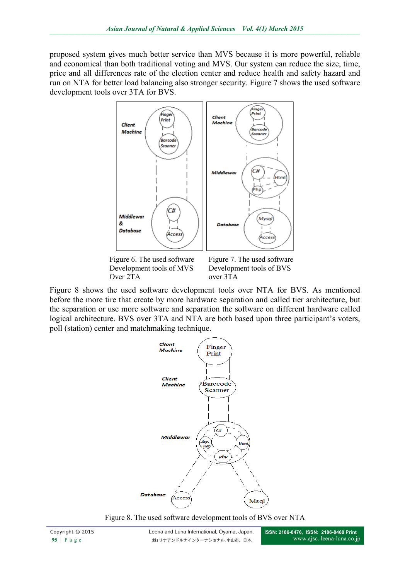proposed system gives much better service than MVS because it is more powerful, reliable and economical than both traditional voting and MVS. Our system can reduce the size, time, price and all differences rate of the election center and reduce health and safety hazard and run on NTA for better load balancing also stronger security. Figure 7 shows the used software development tools over 3TA for BVS.



Figure 8 shows the used software development tools over NTA for BVS. As mentioned before the more tire that create by more hardware separation and called tier architecture, but the separation or use more software and separation the software on different hardware called logical architecture. BVS over 3TA and NTA are both based upon three participant's voters, poll (station) center and matchmaking technique.

over 3TA

Over 2TA



Figure 8. The used software development tools of BVS over NTA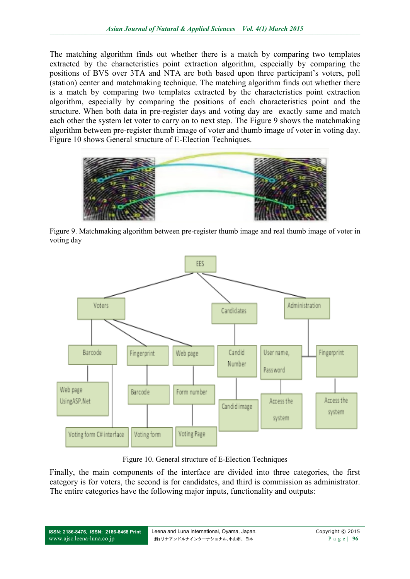The matching algorithm finds out whether there is a match by comparing two templates extracted by the characteristics point extraction algorithm, especially by comparing the positions of BVS over 3TA and NTA are both based upon three participant's voters, poll (station) center and matchmaking technique. The matching algorithm finds out whether there is a match by comparing two templates extracted by the characteristics point extraction algorithm, especially by comparing the positions of each characteristics point and the structure. When both data in pre-register days and voting day are exactly same and match each other the system let voter to carry on to next step. The Figure 9 shows the matchmaking algorithm between pre-register thumb image of voter and thumb image of voter in voting day. Figure 10 shows General structure of E-Election Techniques.



Figure 9. Matchmaking algorithm between pre-register thumb image and real thumb image of voter in voting day



Figure 10. General structure of E-Election Techniques

Finally, the main components of the interface are divided into three categories, the first category is for voters, the second is for candidates, and third is commission as administrator. The entire categories have the following major inputs, functionality and outputs: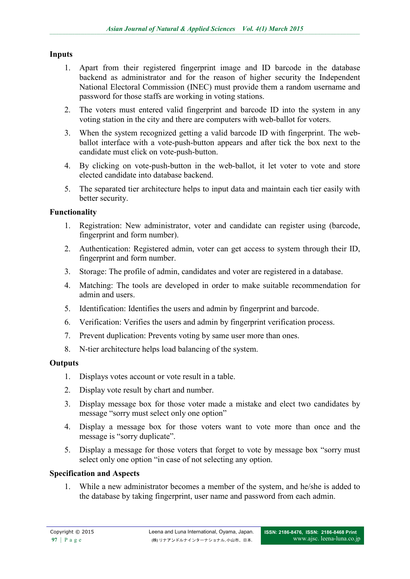### **Inputs**

- 1. Apart from their registered fingerprint image and ID barcode in the database backend as administrator and for the reason of higher security the Independent National Electoral Commission (INEC) must provide them a random username and password for those staffs are working in voting stations.
- 2. The voters must entered valid fingerprint and barcode ID into the system in any voting station in the city and there are computers with web-ballot for voters.
- 3. When the system recognized getting a valid barcode ID with fingerprint. The webballot interface with a vote-push-button appears and after tick the box next to the candidate must click on vote-push-button.
- 4. By clicking on vote-push-button in the web-ballot, it let voter to vote and store elected candidate into database backend.
- 5. The separated tier architecture helps to input data and maintain each tier easily with better security.

### **Functionality**

- 1. Registration: New administrator, voter and candidate can register using (barcode, fingerprint and form number).
- 2. Authentication: Registered admin, voter can get access to system through their ID, fingerprint and form number.
- 3. Storage: The profile of admin, candidates and voter are registered in a database.
- 4. Matching: The tools are developed in order to make suitable recommendation for admin and users.
- 5. Identification: Identifies the users and admin by fingerprint and barcode.
- 6. Verification: Verifies the users and admin by fingerprint verification process.
- 7. Prevent duplication: Prevents voting by same user more than ones.
- 8. N-tier architecture helps load balancing of the system.

#### **Outputs**

- 1. Displays votes account or vote result in a table.
- 2. Display vote result by chart and number.
- 3. Display message box for those voter made a mistake and elect two candidates by message "sorry must select only one option"
- 4. Display a message box for those voters want to vote more than once and the message is "sorry duplicate".
- 5. Display a message for those voters that forget to vote by message box "sorry must select only one option "in case of not selecting any option.

#### **Specification and Aspects**

1. While a new administrator becomes a member of the system, and he/she is added to the database by taking fingerprint, user name and password from each admin.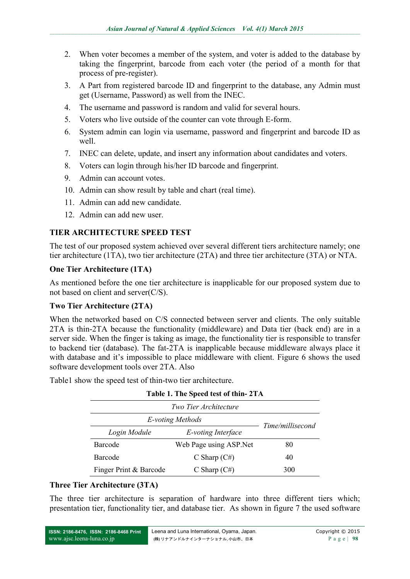- 2. When voter becomes a member of the system, and voter is added to the database by taking the fingerprint, barcode from each voter (the period of a month for that process of pre-register).
- 3. A Part from registered barcode ID and fingerprint to the database, any Admin must get (Username, Password) as well from the INEC.
- 4. The username and password is random and valid for several hours.
- 5. Voters who live outside of the counter can vote through E-form.
- 6. System admin can login via username, password and fingerprint and barcode ID as well.
- 7. INEC can delete, update, and insert any information about candidates and voters.
- 8. Voters can login through his/her ID barcode and fingerprint.
- 9. Admin can account votes.
- 10. Admin can show result by table and chart (real time).
- 11. Admin can add new candidate.
- 12. Admin can add new user.

# **TIER ARCHITECTURE SPEED TEST**

The test of our proposed system achieved over several different tiers architecture namely; one tier architecture (1TA), two tier architecture (2TA) and three tier architecture (3TA) or NTA.

## **One Tier Architecture (1TA)**

As mentioned before the one tier architecture is inapplicable for our proposed system due to not based on client and server(C/S).

## **Two Tier Architecture (2TA)**

When the networked based on C/S connected between server and clients. The only suitable 2TA is thin-2TA because the functionality (middleware) and Data tier (back end) are in a server side. When the finger is taking as image, the functionality tier is responsible to transfer to backend tier (database). The fat-2TA is inapplicable because middleware always place it with database and it's impossible to place middleware with client. Figure 6 shows the used software development tools over 2TA. Also

Table1 show the speed test of thin-two tier architecture.

| Two Tier Architecture  |                         |                  |  |  |
|------------------------|-------------------------|------------------|--|--|
| E-voting Methods       |                         | Time/millisecond |  |  |
| Login Module           | E-voting Interface      |                  |  |  |
| Barcode                | Web Page using ASP. Net | 80               |  |  |
| Barcode                | C Sharp $(C#)$          | 40               |  |  |
| Finger Print & Barcode | C Sharp $(C#)$          | 300              |  |  |

#### **Table 1. The Speed test of thin- 2TA**

## **Three Tier Architecture (3TA)**

The three tier architecture is separation of hardware into three different tiers which; presentation tier, functionality tier, and database tier. As shown in figure 7 the used software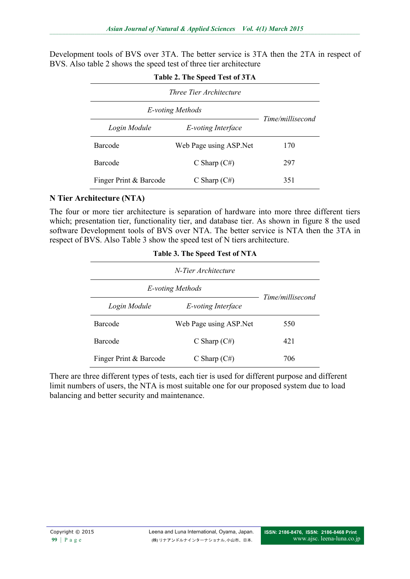Development tools of BVS over 3TA. The better service is 3TA then the 2TA in respect of BVS. Also table 2 shows the speed test of three tier architecture

| $1$ avie $2$ . The speed Test of $31A$<br><i>Three Tier Architecture</i> |                         |     |  |  |
|--------------------------------------------------------------------------|-------------------------|-----|--|--|
|                                                                          |                         |     |  |  |
| Login Module                                                             | E-voting Interface      |     |  |  |
| Barcode                                                                  | Web Page using ASP. Net | 170 |  |  |
| Barcode                                                                  | C Sharp $(C#)$          | 297 |  |  |
| Finger Print & Barcode                                                   | C Sharp $(C#)$          | 351 |  |  |

### **Table 2. The Speed Test of 3TA**

#### **N Tier Architecture (NTA)**

The four or more tier architecture is separation of hardware into more three different tiers which; presentation tier, functionality tier, and database tier. As shown in figure 8 the used software Development tools of BVS over NTA. The better service is NTA then the 3TA in respect of BVS. Also Table 3 show the speed test of N tiers architecture.

| $1400 \text{C}$ . The Speed Test of NTTL<br>N-Tier Architecture |                         |     |  |  |
|-----------------------------------------------------------------|-------------------------|-----|--|--|
|                                                                 |                         |     |  |  |
| Login Module                                                    | E-voting Interface      |     |  |  |
| Barcode                                                         | Web Page using ASP. Net | 550 |  |  |
| Barcode                                                         | C Sharp $(C#)$          | 421 |  |  |
| Finger Print & Barcode                                          | C Sharp $(C#)$          | 706 |  |  |

**Table 3. The Speed Test of NTA**

There are three different types of tests, each tier is used for different purpose and different limit numbers of users, the NTA is most suitable one for our proposed system due to load balancing and better security and maintenance.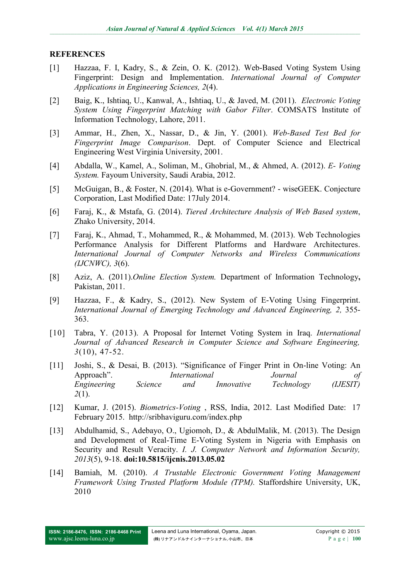#### **REFERENCES**

- [1] Hazzaa, F. I, Kadry, S., & Zein, O. K. (2012). Web-Based Voting System Using Fingerprint: Design and Implementation. *International Journal of Computer Applications in Engineering Sciences, 2*(4).
- [2] Baig, K., Ishtiaq, U., Kanwal, A., Ishtiaq, U., & Javed, M. (2011). *Electronic Voting System Using Fingerprint Matching with Gabor Filter*. COMSATS Institute of Information Technology, Lahore, 2011.
- [3] Ammar, H., Zhen, X., Nassar, D., & Jin, Y. (2001). *Web-Based Test Bed for Fingerprint Image Comparison*. Dept. of Computer Science and Electrical Engineering West Virginia University, 2001.
- [4] Abdalla, W., Kamel, A., Soliman, M., Ghobrial, M., & Ahmed, A. (2012). *E- Voting System.* Fayoum University, Saudi Arabia, 2012.
- [5] McGuigan, B., & Foster, N. (2014). [What is e-Government? -](http://r.search.yahoo.com/_ylt=A0LEV0mimNtThXUAAftXNyoA;_ylu=X3oDMTEzaTg0a2U4BHNlYwNzcgRwb3MDMgRjb2xvA2JmMQR2dGlkA1NNRTQyMV8x/RV=2/RE=1406929189/RO=10/RU=http%3a%2f%2fwww.wisegeek.org%2fwhat-is-e-government.htm/RK=0/RS=idQiM2LUZ1E7wYm21bQVlRBMTl8-) wiseGEEK. Conjecture Corporation, Last Modified Date: 17July 2014.
- [6] Faraj, K., & Mstafa, G. (2014). *Tiered Architecture Analysis of Web Based system*, Zhako University, 2014.
- [7] Faraj, K., Ahmad, T., Mohammed, R., & Mohammed, M. (2013). Web Technologies Performance Analysis for Different Platforms and Hardware Architectures. *International Journal of Computer Networks and Wireless Communications (IJCNWC), 3*(6).
- [8] Aziz, A. (2011).*Online Election System.* Department of Information Technology**,**  Pakistan, 2011.
- [9] Hazzaa, F., & Kadry, S., (2012). New System of E-Voting Using Fingerprint. *International Journal of Emerging Technology and Advanced Engineering, 2,* 355- 363.
- [10] Tabra, Y. (2013). A Proposal for Internet Voting System in Iraq. *International Journal of Advanced Research in Computer Science and Software Engineering, 3*(10), 47-52.
- [11] Joshi, S., & Desai, B. (2013). "Significance of Finger Print in On-line Voting: An Approach". *International Journal of Engineering Science and Innovative Technology (IJESIT) 2*(1).
- [12] Kumar, J. (2015). *[Biometrics-Voting](http://r.search.yahoo.com/_ylt=A0LEV0mimNtThXUAAftXNyoA;_ylu=X3oDMTEzaTg0a2U4BHNlYwNzcgRwb3MDMgRjb2xvA2JmMQR2dGlkA1NNRTQyMV8x/RV=2/RE=1406929189/RO=10/RU=http%3a%2f%2fwww.wisegeek.org%2fwhat-is-e-government.htm/RK=0/RS=idQiM2LUZ1E7wYm21bQVlRBMTl8-)* , RSS, India, 2012. Last Modified Date: 17 February 2015. <http://sribhaviguru.com/index.php>
- [13] Abdulhamid, S., Adebayo, O., Ugiomoh, D., & AbdulMalik, M. (2013). The Design and Development of Real-Time E-Voting System in Nigeria with Emphasis on Security and Result Veracity. *I. J. Computer Network and Information Security, 2013*(5), 9-18. **doi:10.5815/ijcnis.2013.05.02**
- [14] Bamiah, M. (2010). *A Trustable Electronic Government Voting Management Framework Using Trusted Platform Module (TPM).* Staffordshire University, UK, 2010